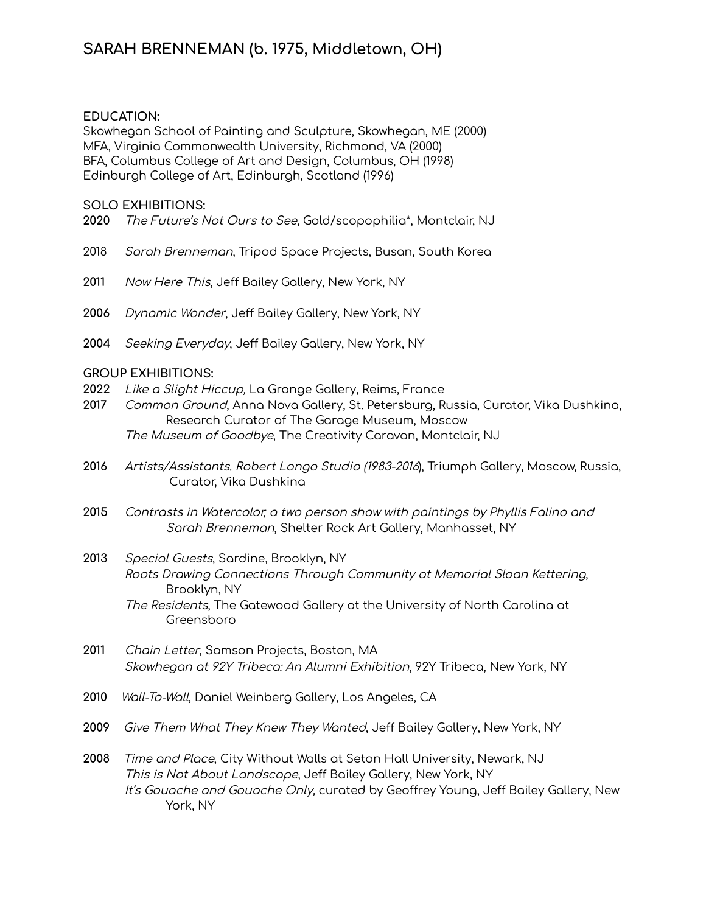## **EDUCATION:**

Skowhegan School of Painting and Sculpture, Skowhegan, ME (2000) MFA, Virginia Commonwealth University, Richmond, VA (2000) BFA, Columbus College of Art and Design, Columbus, OH (1998) Edinburgh College of Art, Edinburgh, Scotland (1996)

#### **SOLO EXHIBITIONS:**

- **2020** The Future's Not Ours to See, Gold/scopophilia\*, Montclair, NJ
- 2018 Sarah Brenneman, Tripod Space Projects, Busan, South Korea
- **2011** Now Here This, Jeff Bailey Gallery, New York, NY
- **2006** Dynamic Wonder, Jeff Bailey Gallery, New York, NY
- **2004** Seeking Everyday, Jeff Bailey Gallery, New York, NY

### **GROUP EXHIBITIONS:**

- **2022** Like <sup>a</sup> Slight Hiccup, La Grange Gallery, Reims, France
- **2017** Common Ground, Anna Nova Gallery, St. Petersburg, Russia, Curator, Vika Dushkina, Research Curator of The Garage Museum, Moscow The Museum of Goodbye, The Creativity Caravan, Montclair, NJ
- **2016** Artists/Assistants. Robert Longo Studio (1983-2016), Triumph Gallery, Moscow, Russia, Curator, Vika Dushkina
- **2015** Contrasts in Watercolor, <sup>a</sup> two person show with paintings by Phyllis Falino and Sarah Brenneman, Shelter Rock Art Gallery, Manhasset, NY
- **2013** Special Guests, Sardine, Brooklyn, NY Roots Drawing Connections Through Community at Memorial Sloan Kettering, Brooklyn, NY The Residents, The Gatewood Gallery at the University of North Carolina at Greensboro
- **2011** Chain Letter, Samson Projects, Boston, MA Skowhegan at 92Y Tribeca: An Alumni Exhibition, 92Y Tribeca, New York, NY
- **2010** Wall-To-Wall, Daniel Weinberg Gallery, Los Angeles, CA
- **2009** Give Them What They Knew They Wanted, Jeff Bailey Gallery, New York, NY

**2008** Time and Place, City Without Walls at Seton Hall University, Newark, NJ This is Not About Landscape, Jeff Bailey Gallery, New York, NY It's Gouache and Gouache Only, curated by Geoffrey Young, Jeff Bailey Gallery, New York, NY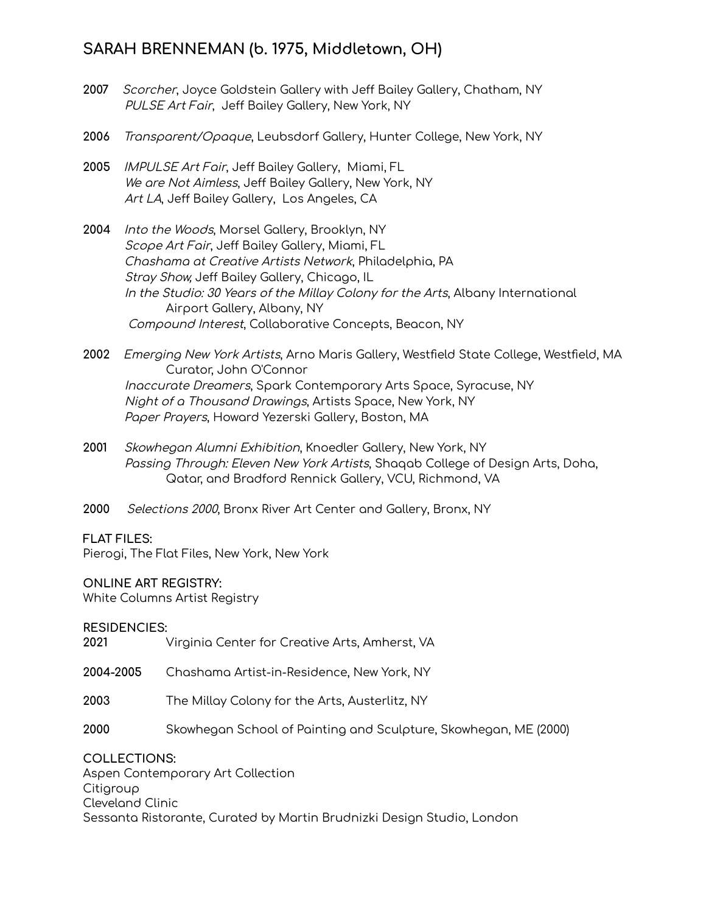# **SARAH BRENNEMAN (b. 1975, Middletown, OH)**

- **2007** Scorcher, Joyce Goldstein Gallery with Jeff Bailey Gallery, Chatham, NY PULSE Art Fair, Jeff Bailey Gallery, New York, NY
- **2006** Transparent/Opaque, Leubsdorf Gallery, Hunter College, New York, NY
- **2005** IMPULSE Art Fair, Jeff Bailey Gallery, Miami, FL We are Not Aimless, Jeff Bailey Gallery, New York, NY Art LA, Jeff Bailey Gallery, Los Angeles, CA
- **2004** Into the Woods, Morsel Gallery, Brooklyn, NY Scope Art Fair, Jeff Bailey Gallery, Miami, FL Chashama at Creative Artists Network, Philadelphia, PA Stray Show, Jeff Bailey Gallery, Chicago, IL In the Studio: 30 Years of the Millay Colony for the Arts, Albany International Airport Gallery, Albany, NY Compound Interest, Collaborative Concepts, Beacon, NY
- **2002** Emerging New York Artists, Arno Maris Gallery, Westfield State College, Westfield, MA Curator, John O'Connor Inaccurate Dreamers, Spark Contemporary Arts Space, Syracuse, NY Night of <sup>a</sup> Thousand Drawings, Artists Space, New York, NY Paper Prayers, Howard Yezerski Gallery, Boston, MA
- **2001** Skowhegan Alumni Exhibition, Knoedler Gallery, New York, NY Passing Through: Eleven New York Artists, Shaqab College of Design Arts, Doha, Qatar, and Bradford Rennick Gallery, VCU, Richmond, VA
- **2000** Selections 2000, Bronx River Art Center and Gallery, Bronx, NY

## **FLAT FILES:**

Pierogi, The Flat Files, New York, New York

## **ONLINE ART REGISTRY:**

White Columns Artist Registry

**RESIDENCIES:**

| 2021 | Virginia Center for Creative Arts, Amherst, VA |
|------|------------------------------------------------|
|------|------------------------------------------------|

- **2004-2005** Chashama Artist-in-Residence, New York, NY
- **2003** The Millay Colony for the Arts, Austerlitz, NY
- **2000** Skowhegan School of Painting and Sculpture, Skowhegan, ME (2000)

**COLLECTIONS:** Aspen Contemporary Art Collection Citigroup Cleveland Clinic Sessanta Ristorante, Curated by Martin Brudnizki Design Studio, London